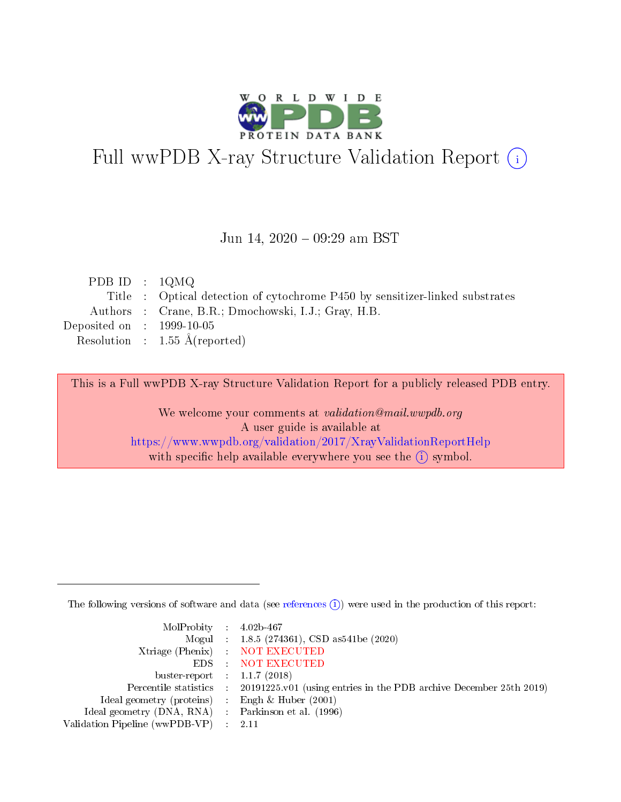

# Full wwPDB X-ray Structure Validation Report (i)

#### Jun 14, 2020 - 09:29 am BST

| PDB ID : $1QMQ$             |                                                                              |
|-----------------------------|------------------------------------------------------------------------------|
|                             | Title : Optical detection of cytochrome P450 by sensitizer-linked substrates |
|                             | Authors : Crane, B.R.; Dmochowski, I.J.; Gray, H.B.                          |
| Deposited on : $1999-10-05$ |                                                                              |
|                             | Resolution : $1.55 \text{ Å}$ (reported)                                     |
|                             |                                                                              |

This is a Full wwPDB X-ray Structure Validation Report for a publicly released PDB entry.

We welcome your comments at validation@mail.wwpdb.org A user guide is available at <https://www.wwpdb.org/validation/2017/XrayValidationReportHelp> with specific help available everywhere you see the  $(i)$  symbol.

The following versions of software and data (see [references](https://www.wwpdb.org/validation/2017/XrayValidationReportHelp#references)  $(i)$ ) were used in the production of this report:

| MolProbity : $4.02b-467$                            |                                                                                            |
|-----------------------------------------------------|--------------------------------------------------------------------------------------------|
|                                                     | Mogul : 1.8.5 (274361), CSD as541be (2020)                                                 |
|                                                     | Xtriage (Phenix) NOT EXECUTED                                                              |
|                                                     | EDS : NOT EXECUTED                                                                         |
| buster-report : $1.1.7(2018)$                       |                                                                                            |
|                                                     | Percentile statistics : 20191225.v01 (using entries in the PDB archive December 25th 2019) |
| Ideal geometry (proteins) :                         | Engh & Huber $(2001)$                                                                      |
| Ideal geometry (DNA, RNA) : Parkinson et al. (1996) |                                                                                            |
| Validation Pipeline (wwPDB-VP) :                    | - 2.11                                                                                     |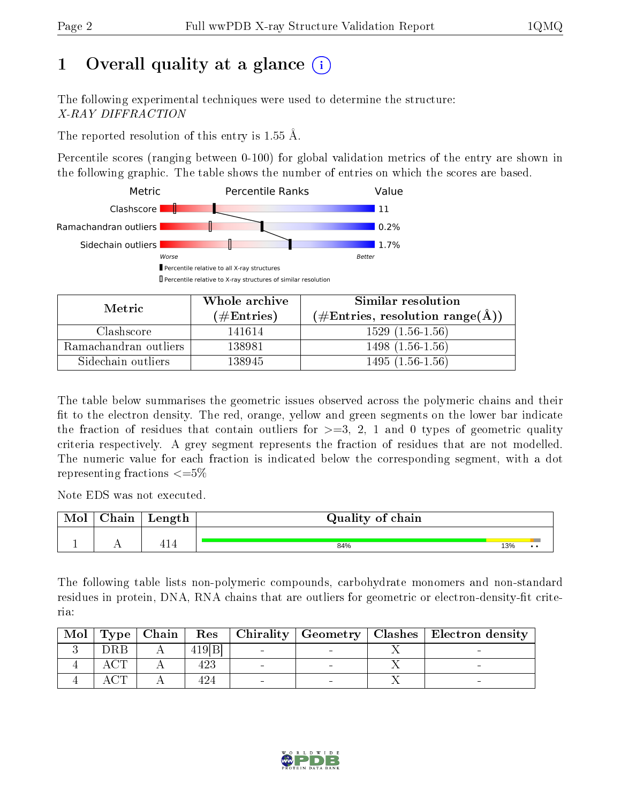# 1 [O](https://www.wwpdb.org/validation/2017/XrayValidationReportHelp#overall_quality)verall quality at a glance  $(i)$

The following experimental techniques were used to determine the structure: X-RAY DIFFRACTION

The reported resolution of this entry is 1.55 Å.

Percentile scores (ranging between 0-100) for global validation metrics of the entry are shown in the following graphic. The table shows the number of entries on which the scores are based.



| Metric                | Whole archive<br>$(\#\text{Entries})$ | Similar resolution<br>$(\#\text{Entries}, \text{resolution range}(\text{\AA}) )$ |
|-----------------------|---------------------------------------|----------------------------------------------------------------------------------|
| Clashscore            | 141614                                | $1529(1.56-1.56)$                                                                |
| Ramachandran outliers | 138981                                | $1498(1.56-1.56)$                                                                |
| Sidechain outliers    | 138945                                | $1495(1.56-1.56)$                                                                |

The table below summarises the geometric issues observed across the polymeric chains and their fit to the electron density. The red, orange, yellow and green segments on the lower bar indicate the fraction of residues that contain outliers for  $\geq=3$ , 2, 1 and 0 types of geometric quality criteria respectively. A grey segment represents the fraction of residues that are not modelled. The numeric value for each fraction is indicated below the corresponding segment, with a dot representing fractions  $\leq=5\%$ 

Note EDS was not executed.

| Mol | ${\rm Chain}$ | Length | Quality of chain |     |  |
|-----|---------------|--------|------------------|-----|--|
|     |               |        |                  |     |  |
|     | . .           | 414    | 84%              | 13% |  |

The following table lists non-polymeric compounds, carbohydrate monomers and non-standard residues in protein, DNA, RNA chains that are outliers for geometric or electron-density-fit criteria:

| Mol |                 | $\vert$ Type $\vert$ Chain $\vert$ |        |  | Res   Chirality   Geometry   Clashes   Electron density |
|-----|-----------------|------------------------------------|--------|--|---------------------------------------------------------|
|     | DRB             |                                    | 419[B] |  |                                                         |
|     |                 |                                    | 423    |  |                                                         |
|     | $\cap$ m $\cap$ |                                    |        |  |                                                         |

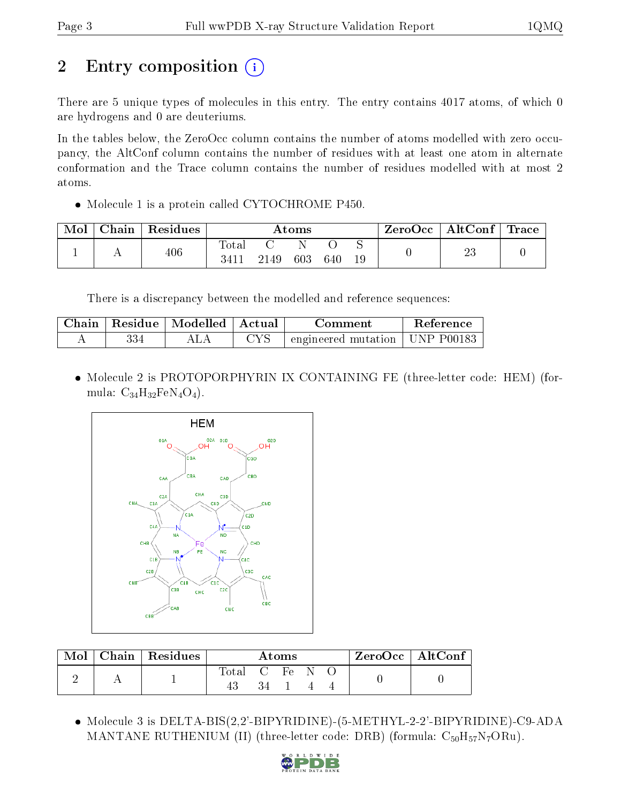# 2 Entry composition  $\left( \cdot \right)$

There are 5 unique types of molecules in this entry. The entry contains 4017 atoms, of which 0 are hydrogens and 0 are deuteriums.

In the tables below, the ZeroOcc column contains the number of atoms modelled with zero occupancy, the AltConf column contains the number of residues with at least one atom in alternate conformation and the Trace column contains the number of residues modelled with at most 2 atoms.

• Molecule 1 is a protein called CYTOCHROME P450.

| Mol | Chain | Residues |                         |      | $\rm{Atoms}$ |     |         | ZeroOcc | $\operatorname{AltConf}$ | <b>Trace</b> |
|-----|-------|----------|-------------------------|------|--------------|-----|---------|---------|--------------------------|--------------|
|     |       | 406      | $\mathrm{Total}$<br>341 | 2149 | 603          | 640 | ◡<br>19 |         | ∠ಪ                       |              |

There is a discrepancy between the modelled and reference sequences:

| Chain |     | Residue   Modelled   Actual |    | Comment                                    | <b>Reference</b> |
|-------|-----|-----------------------------|----|--------------------------------------------|------------------|
|       | 334 |                             | YS | $\pm$ engineered mutation $\pm$ UNP P00183 |                  |

 Molecule 2 is PROTOPORPHYRIN IX CONTAINING FE (three-letter code: HEM) (formula:  $C_{34}H_{32}FeN_4O_4$ .



| Mol | Chain Residues |                | Atoms |  | ZeroOcc   AltConf |
|-----|----------------|----------------|-------|--|-------------------|
|     |                | Total C Fe N O |       |  |                   |
|     |                |                |       |  |                   |

 Molecule 3 is DELTA-BIS(2,2'-BIPYRIDINE)-(5-METHYL-2-2'-BIPYRIDINE)-C9-ADA MANTANE RUTHENIUM (II) (three-letter code: DRB) (formula:  $C_{50}H_{57}N_7ORu$ ).

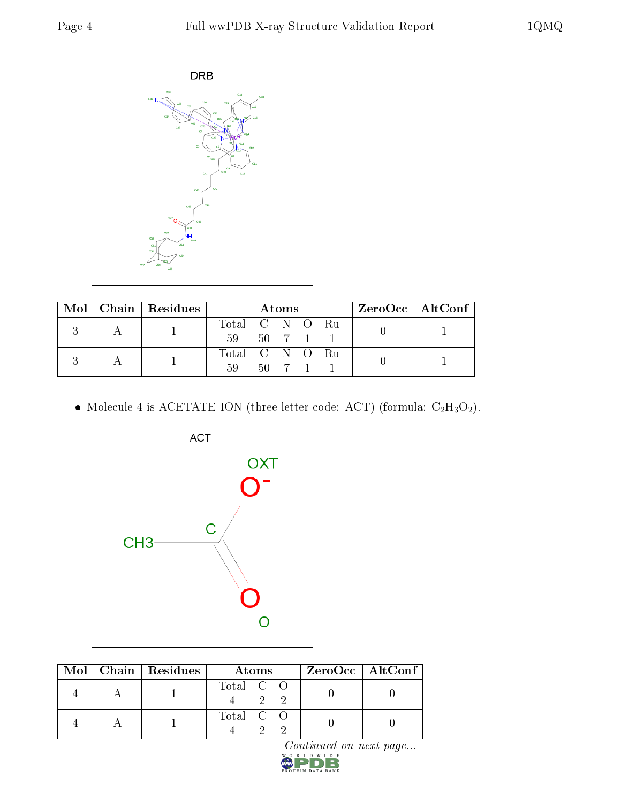

|  | $\text{Mol}$   Chain   Residues |                | Atoms    |  | $ZeroOcc \   \ AltConf \  $ |
|--|---------------------------------|----------------|----------|--|-----------------------------|
|  |                                 | Total C N O Ru |          |  |                             |
|  |                                 | 59 50 7 1 1    |          |  |                             |
|  |                                 | Total C N O Ru |          |  |                             |
|  |                                 | 59             | 50 7 1 1 |  |                             |

 $\bullet$  Molecule 4 is ACETATE ION (three-letter code: ACT) (formula:  $\rm{C_2H_3O_2}).$ 



|  | $Mol$   Chain   Residues | Atoms     | $\rm ZeroOcc \mid AltConf \mid$ |
|--|--------------------------|-----------|---------------------------------|
|  |                          | Total C O |                                 |
|  |                          | Total C O |                                 |

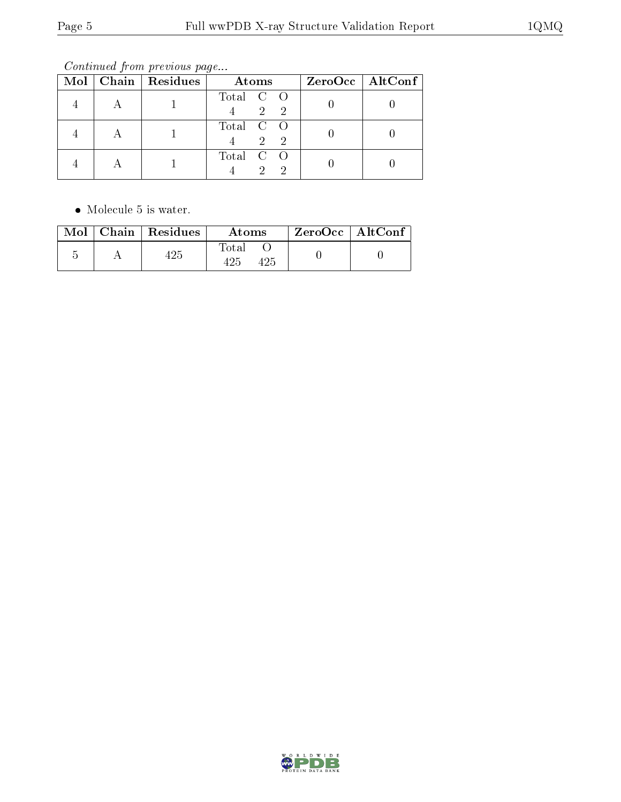Continued from previous page...

|  | Mol   Chain   Residues | Atoms                           | $ZeroOcc \   \$ AltConf |
|--|------------------------|---------------------------------|-------------------------|
|  |                        | Total C O<br>$\overline{2}$     |                         |
|  |                        | Total C O<br>$2^{\circ}$<br>-2  |                         |
|  |                        | Total C O<br>$\mathcal{D}$<br>2 |                         |

• Molecule 5 is water.

|  | $\text{Mol}$   Chain   Residues | Atoms | ZeroOcc   AltConf |  |
|--|---------------------------------|-------|-------------------|--|
|  |                                 | Total |                   |  |

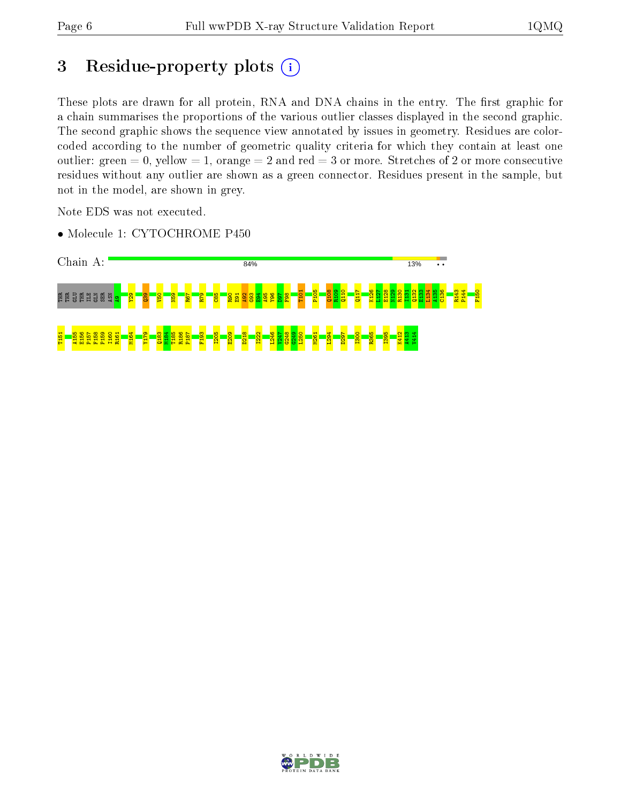# 3 Residue-property plots (i)

These plots are drawn for all protein, RNA and DNA chains in the entry. The first graphic for a chain summarises the proportions of the various outlier classes displayed in the second graphic. The second graphic shows the sequence view annotated by issues in geometry. Residues are colorcoded according to the number of geometric quality criteria for which they contain at least one outlier: green  $= 0$ , yellow  $= 1$ , orange  $= 2$  and red  $= 3$  or more. Stretches of 2 or more consecutive residues without any outlier are shown as a green connector. Residues present in the sample, but not in the model, are shown in grey.

Note EDS was not executed.

• Molecule 1: CYTOCHROME P450



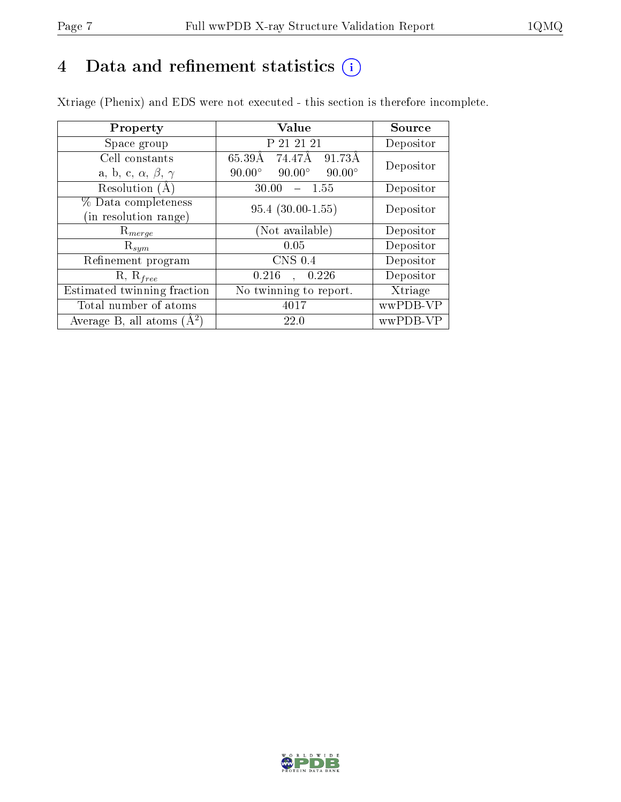# 4 Data and refinement statistics  $(i)$

Xtriage (Phenix) and EDS were not executed - this section is therefore incomplete.

| Property                               | <b>Value</b>                                    | Source    |  |
|----------------------------------------|-------------------------------------------------|-----------|--|
| Space group                            | P 21 21 21                                      | Depositor |  |
| Cell constants                         | 65.39Å<br>74.47Å<br>91.73Å                      | Depositor |  |
| a, b, c, $\alpha$ , $\beta$ , $\gamma$ | $90.00^\circ$<br>$90.00^\circ$<br>$90.00^\circ$ |           |  |
| Resolution $(A)$                       | 30.00<br>$-1.55$                                | Depositor |  |
| % Data completeness                    | $95.4(30.00-1.55)$                              | Depositor |  |
| (in resolution range)                  |                                                 |           |  |
| $\mathrm{R}_{merge}$                   | (Not available)                                 | Depositor |  |
| $\mathrm{R}_{sym}$                     | 0.05                                            | Depositor |  |
| Refinement program                     | CNS 0.4                                         | Depositor |  |
| $R, R_{free}$                          | 0.216<br>0.226                                  | Depositor |  |
| Estimated twinning fraction            | No twinning to report.                          | Xtriage   |  |
| Total number of atoms                  | 4017                                            | wwPDB-VP  |  |
| Average B, all atoms $(A^2)$           | <b>22.0</b>                                     | wwPDB-VP  |  |

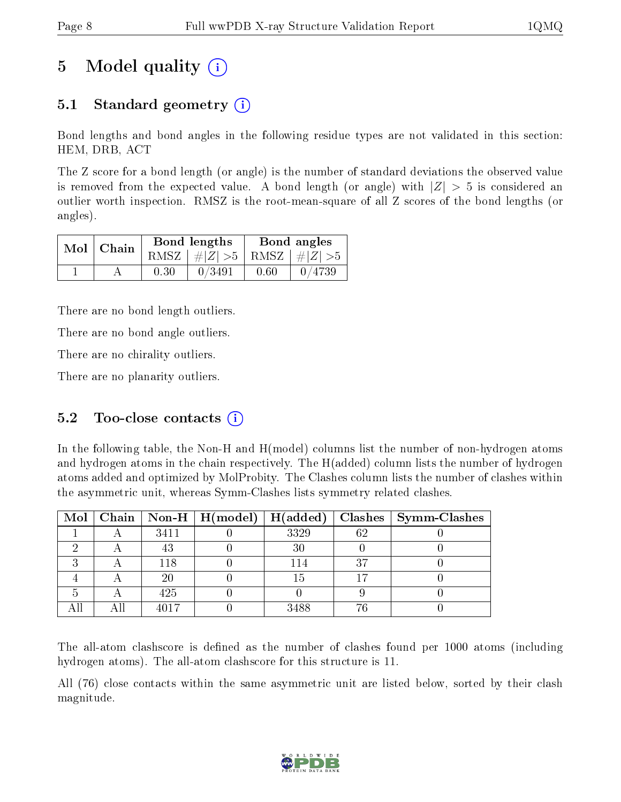# 5 Model quality  $(i)$

## 5.1 Standard geometry (i)

Bond lengths and bond angles in the following residue types are not validated in this section: HEM, DRB, ACT

The Z score for a bond length (or angle) is the number of standard deviations the observed value is removed from the expected value. A bond length (or angle) with  $|Z| > 5$  is considered an outlier worth inspection. RMSZ is the root-mean-square of all Z scores of the bond lengths (or angles).

|  | $Mol$   Chain |      | Bond lengths                    | Bond angles |        |  |
|--|---------------|------|---------------------------------|-------------|--------|--|
|  |               |      | RMSZ $ #Z  > 5$ RMSZ $ #Z  > 5$ |             |        |  |
|  |               | 0.30 | 0/3491                          | 0.60        | 0/4739 |  |

There are no bond length outliers.

There are no bond angle outliers.

There are no chirality outliers.

There are no planarity outliers.

#### 5.2 Too-close contacts  $(i)$

In the following table, the Non-H and H(model) columns list the number of non-hydrogen atoms and hydrogen atoms in the chain respectively. The H(added) column lists the number of hydrogen atoms added and optimized by MolProbity. The Clashes column lists the number of clashes within the asymmetric unit, whereas Symm-Clashes lists symmetry related clashes.

|  |      |      |    | Mol   Chain   Non-H   H(model)   H(added)   Clashes   Symm-Clashes |
|--|------|------|----|--------------------------------------------------------------------|
|  | 3411 | 3329 | 62 |                                                                    |
|  | 43   | 30   |    |                                                                    |
|  | 118  | 114  | 27 |                                                                    |
|  | 20   | 15   |    |                                                                    |
|  | 425  |      |    |                                                                    |
|  | 4017 | 3488 |    |                                                                    |

The all-atom clashscore is defined as the number of clashes found per 1000 atoms (including hydrogen atoms). The all-atom clashscore for this structure is 11.

All (76) close contacts within the same asymmetric unit are listed below, sorted by their clash magnitude.

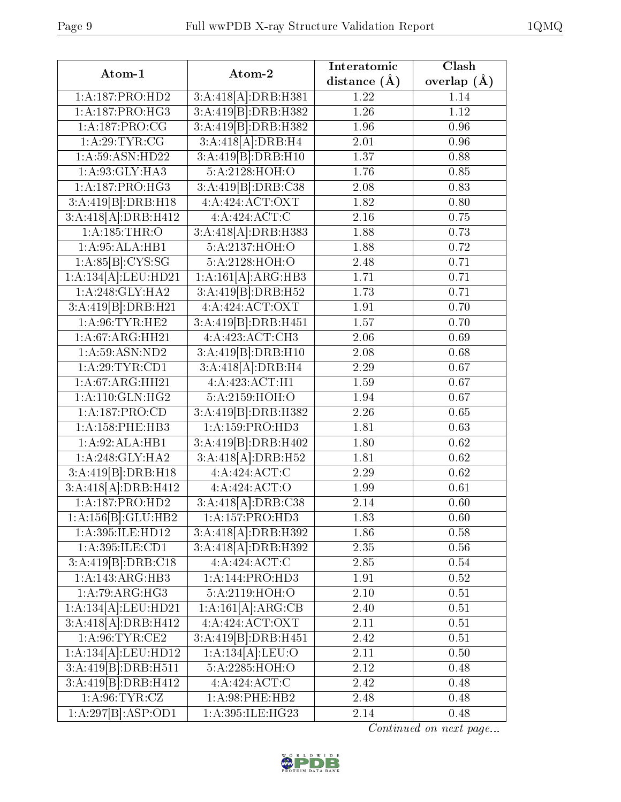| Atom-1                       | Atom-2              | Interatomic      | Clash         |  |
|------------------------------|---------------------|------------------|---------------|--|
|                              |                     | distance $(\AA)$ | overlap $(A)$ |  |
| 1:A:187:PRO:HD2              | 3:A:418[A]:DRB:H381 | 1.22             | 1.14          |  |
| 1:A:187:PRO:HG3              | 3:A:419[B]:DRB:H382 | 1.26             | 1.12          |  |
| 1:A:187:PRO:CG               | 3:A:419[B]:DRB:H382 | 1.96             | 0.96          |  |
| 1: A:29:TYR:CG               | 3:A:418[A]:DRB:H4   | 2.01             | 0.96          |  |
| 1:A:59:ASN:HD22              | 3:A:419[B]:DRB:H10  | 1.37             | 0.88          |  |
| 1:A:93:GLY:HA3               | 5:A:2128:HOH:O      | 1.76             | 0.85          |  |
| 1:A:187:PRO:HG3              | 3:A:419[B]:DRB:C38  | 2.08             | 0.83          |  |
| 3:A:419[B]:DRB:H18           | 4: A:424: ACT: OXT  | 1.82             | 0.80          |  |
| 3:A:418[A]:DRB:H412          | 4:A:424:ACT:C       | 2.16             | 0.75          |  |
| 1:A:185:THR:O                | 3:A:418[A]:DRB:H383 | 1.88             | 0.73          |  |
| 1: A:95: ALA:HB1             | 5:A:2137:HOH:O      | 1.88             | 0.72          |  |
| 1:A:85[B]:CYS:SG             | 5:A:2128:HOH:O      | 2.48             | 0.71          |  |
| 1:A:134[A]:LEU:HD21          | 1:A:161[A]:ARG:HB3  | 1.71             | 0.71          |  |
| 1: A:248: GLY: HA2           | 3:A:419[B]:DRB:H52  | 1.73             | 0.71          |  |
| 3:A:419[B]:DRB:H21           | 4:A:424:ACT:OXT     | 1.91             | 0.70          |  |
| 1: A:96:TYR:HE2              | 3:A:419[B]:DRB:H451 | 1.57             | 0.70          |  |
| 1:A:67:ARG:HH21              | 4:A:423:ACT:CH3     | 2.06             | 0.69          |  |
| 1: A:59: ASN:ND2             | 3:A:419[B]:DRB:H10  | 2.08             | 0.68          |  |
| 1: A:29:TYR:CD1              | 3:A:418[A]:DRB:H4   | 2.29             | 0.67          |  |
| $1:A:\overline{67:ARG:HH21}$ | 4:A:423:ACT:H1      | 1.59             | 0.67          |  |
| 1: A:110: GLN: HG2           | 5:A:2159:HOH:O      | 1.94             | 0.67          |  |
| 1:A:187:PRO:CD               | 3:A:419[B]:DRB:H382 | 2.26             | 0.65          |  |
| 1: A: 158: PHE: HB3          | 1:A:159:PRO:HD3     | 1.81             | 0.63          |  |
| 1:A:92:ALA:HB1               | 3:A:419[B]:DRB:H402 | 1.80             | 0.62          |  |
| 1: A:248: GLY:HA2            | 3:A:418[A]:DRB:H52  | 1.81             | 0.62          |  |
| 3:A:419[B]:DRB:H18           | 4:A:424:ACT:C       | 2.29             | 0.62          |  |
| 3:A:418[A]:DRB:H412          | 4:A:424:ACT:O       | 1.99             | 0.61          |  |
| 1:A:187:PRO:HD2              | 3:A:418[A]:DRB:C38  | 2.14             | 0.60          |  |
| 1:A:156[B]:GLU:HB2           | 1:A:157:PRO:HD3     | 1.83             | 0.60          |  |
| 1:A:395:ILE:HD12             | 3:A:418[A]:DRB:H392 | 1.86             | 0.58          |  |
| 1:A:395:ILE:CD1              | 3:A:418[A]:DRB:H392 | $2.35\,$         | 0.56          |  |
| 3:A:419[B]:DRB:Cl8           | 4:A:424:ACT:C       | 2.85             | 0.54          |  |
| 1:A:143:ARG:HB3              | 1:A:144:PRO:HD3     | 1.91             | 0.52          |  |
| 1: A:79: ARG:HG3             | 5:A:2119:HOH:O      | 2.10             | 0.51          |  |
| 1:A:134[A]:LEU:HD21          | 1:A:161[A]:ARG:CB   | 2.40             | 0.51          |  |
| 3:A:418[A]:DRB:H412          | 4: A:424: ACT: OXT  | 2.11             | 0.51          |  |
| 1: A:96:TYR:CE2              | 3:A:419[B]:DRB:H451 | 2.42             | 0.51          |  |
| 1:A:134[A]:LEU:HD12          | 1:A:134[A].LEU:O    | 2.11             | 0.50          |  |
| 3:A:419[B]:DRB:H511          | 5:A:2285:HOH:O      | 2.12             | 0.48          |  |
| 3:A:419[B]:DRB:H412          | 4:A:424:ACT:C       | 2.42             | 0.48          |  |
| 1: A:96:TYR:CZ               | 1:A:98:PHE:HB2      | 2.48             | 0.48          |  |
| 1:A:297[B].ASP:OD1           | 1:A:395:ILE:HG23    | 2.14             | 0.48          |  |

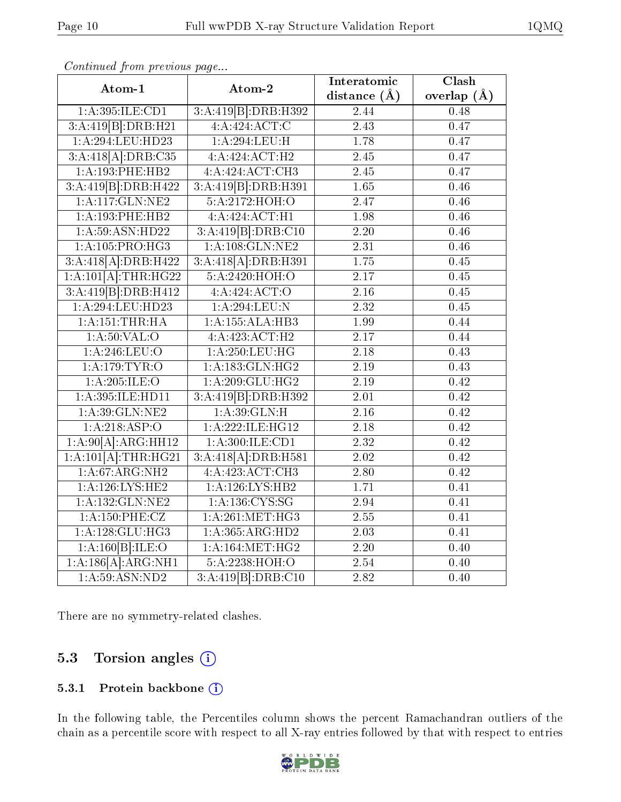| Atom-1                                  | Atom-2                      | Interatomic       | Clash             |  |
|-----------------------------------------|-----------------------------|-------------------|-------------------|--|
|                                         |                             | distance $(A)$    | overlap $(\AA)$   |  |
| 1: A:395: ILE: CD1                      | 3:A:419[B]:DRB:H392         | 2.44              | 0.48              |  |
| 3:A:419[B]:DRB:H21                      | 4:A:424:ACT:C               | $\overline{2.43}$ | $\overline{0.47}$ |  |
| 1:A:294:LEU:HD23                        | 1: A:294:LEU:H              | 1.78              | 0.47              |  |
| 3:A:418[A]:DRB:C35                      | $4:A:424:ACT:\overline{H2}$ | 2.45              | 0.47              |  |
| 1:A:193:PHE:HB2                         | 4:A:424:ACT:CH3             | 2.45              | 0.47              |  |
| 3:A:419[B]:DRB:H422                     | 3:A:419[B]:DRB:H391         | 1.65              | 0.46              |  |
| 1: A:117: GLN: NE2                      | 5:A:2172:HOH:O              | $\overline{2.47}$ | 0.46              |  |
| 1:A:193:PHE:HB2                         | 4:A:424:ACT:H1              | 1.98              | 0.46              |  |
| 1: A:59: ASN: HD22                      | 3:A:419[B]:DRB:Cl0          | $\overline{2.20}$ | 0.46              |  |
| 1:A:105:PRO:HG3                         | $1:$ A:108:GLN:NE2          | 2.31              | 0.46              |  |
| 3:A:418[A]:DRB:H422                     | 3:A:418[A]:DRB:H391         | $\overline{1.75}$ | 0.45              |  |
| $1:A:101[A]:\text{THR}:HG22$            | 5:A:2420:HOH:O              | 2.17              | 0.45              |  |
| 3:A:419[B]:DRB:H412                     | 4:A:424:ACT:O               | 2.16              | 0.45              |  |
| 1:A:294:LEU:HD23                        | 1:A:294:LEU:N               | $\overline{2.32}$ | 0.45              |  |
| 1:A:151:THR:HA                          | 1:A:155:ALA:HB3             | 1.99              | 0.44              |  |
| 1: A:50: VAL:O                          | 4:A:423:ACT:H2              | 2.17              | 0.44              |  |
| 1: A:246:LEU:O                          | 1: A:250:LEU:HG             | 2.18              | 0.43              |  |
| 1:A:179:TYR:O                           | 1:A:183:GLN:HG2             | 2.19              | 0.43              |  |
| 1:A:205:ILE:O                           | 1: A:209: GLU:HG2           | 2.19              | 0.42              |  |
| 1:A:395:ILE:HD11                        | 3:A:419[B]:DRB:H392         | 2.01              | 0.42              |  |
| 1: A:39: GLN: NE2                       | 1: A:39: GLN:H              | $\overline{2.16}$ | $\overline{0.42}$ |  |
| 1:A:218:ASP:O                           | 1:A:222:ILE:HG12            | 2.18              | 0.42              |  |
| 1:A:90[A]:ARG:HH12                      | 1: A:300: ILE: CD1          | 2.32              | 0.42              |  |
| $1:\overline{A:101[A]:\text{THR}:HG21}$ | 3:A:418[A]:DRB:H581         | 2.02              | 0.42              |  |
| 1:A:67:ARG:NH2                          | 4:A:423:ACT:CH3             | 2.80              | 0.42              |  |
| 1: A:126: LYS: HE2                      | 1: A:126: LYS: HB2          | 1.71              | 0.41              |  |
| 1:A:132:GLN:NE2                         | 1:A:136:CYS:SG              | 2.94              | 0.41              |  |
| 1:A:150:PHE:CZ                          | 1: A:261:MET:HG3            | $2.55\,$          | 0.41              |  |
| 1:A:128:GLU:HG3                         | 1:A:365:ARG:HD2             | $2.03\,$          | 0.41              |  |
| 1:A:160[B]:ILE:O                        | 1: A:164:MET:HG2            | 2.20              | 0.40              |  |
| 1:A:186[A]:ARG:NH1                      | 5: A: 2238: HOH:O           | 2.54              | 0.40              |  |
| 1: A:59: ASN:ND2                        | 3:A:419[B]:DRB:Cl0          | 2.82              | 0.40              |  |

Continued from previous page...

There are no symmetry-related clashes.

#### 5.3 Torsion angles  $(i)$

#### 5.3.1 Protein backbone (i)

In the following table, the Percentiles column shows the percent Ramachandran outliers of the chain as a percentile score with respect to all X-ray entries followed by that with respect to entries

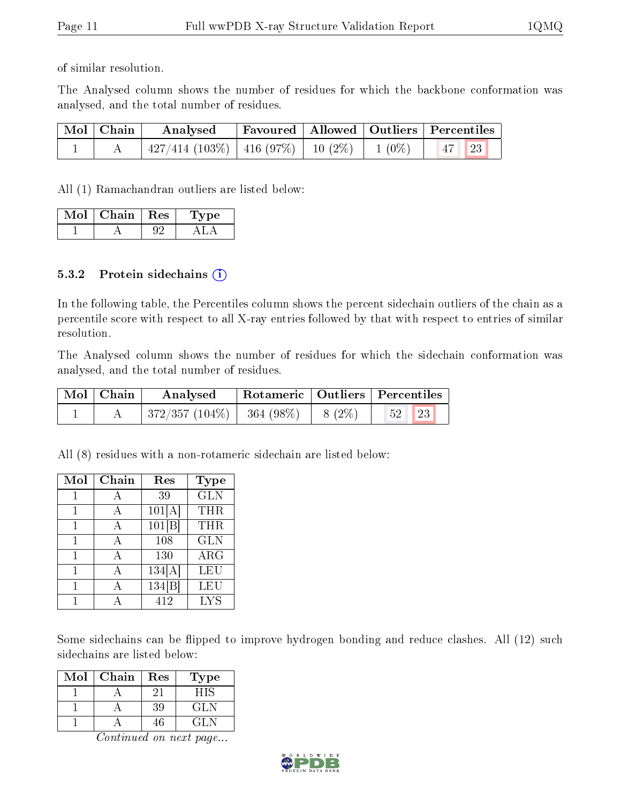of similar resolution.

The Analysed column shows the number of residues for which the backbone conformation was analysed, and the total number of residues.

| Mol   Chain | Analysed                                            |  | Favoured   Allowed   Outliers   Percentiles |
|-------------|-----------------------------------------------------|--|---------------------------------------------|
|             | $427/414$ (103\%)   416 (97\%)   10 (2\%)   1 (0\%) |  | $47$ 23                                     |

All (1) Ramachandran outliers are listed below:

| Mol | Chain   Res | vpe<br>. . |
|-----|-------------|------------|
|     |             |            |

#### 5.3.2 Protein sidechains  $(i)$

In the following table, the Percentiles column shows the percent sidechain outliers of the chain as a percentile score with respect to all X-ray entries followed by that with respect to entries of similar resolution.

The Analysed column shows the number of residues for which the sidechain conformation was analysed, and the total number of residues.

| $\mid$ Mol $\mid$ Chain | Analysed                    |          | Rotameric   Outliers   Percentiles |  |  |
|-------------------------|-----------------------------|----------|------------------------------------|--|--|
|                         | $ 372/357(104\%) 364(98\%)$ | $8(2\%)$ | 23<br>52                           |  |  |

All (8) residues with a non-rotameric sidechain are listed below:

| Mol | Chain | Res    | <b>Type</b> |
|-----|-------|--------|-------------|
| 1   | А     | 39     | <b>GLN</b>  |
| 1   | А     | 101[A] | THR         |
| 1   | A     | 101 B  | THR         |
| 1   | А     | 108    | <b>GLN</b>  |
| 1   | А     | 130    | $\rm{ARG}$  |
|     | А     | 134[A] | LEU         |
|     |       | 134    | <b>LEU</b>  |
|     |       | 412    | <b>LYS</b>  |

Some sidechains can be flipped to improve hydrogen bonding and reduce clashes. All (12) such sidechains are listed below:

| Mol | Chain | Res | Гуре |
|-----|-------|-----|------|
|     |       |     |      |
|     |       | 39  | GL N |
|     |       |     |      |

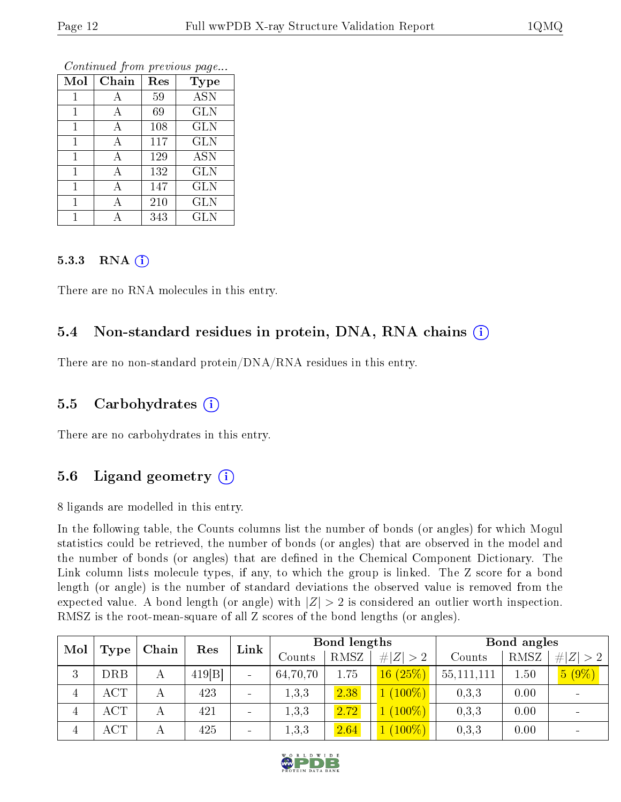|                | v     |     |             |
|----------------|-------|-----|-------------|
| Mol            | Chain | Res | <b>Type</b> |
| 1              | А     | 59  | <b>ASN</b>  |
| $\overline{1}$ | А     | 69  | <b>GLN</b>  |
| 1              | А     | 108 | <b>GLN</b>  |
| 1              | А     | 117 | <b>GLN</b>  |
| $\overline{1}$ | А     | 129 | <b>ASN</b>  |
| $\mathbf{1}$   | А     | 132 | <b>GLN</b>  |
| 1              | Α     | 147 | <b>GLN</b>  |
|                | А     | 210 | <b>GLN</b>  |
|                | А     | 343 | <b>GLN</b>  |

Continued from previous page...

#### 5.3.3 RNA  $(i)$

There are no RNA molecules in this entry.

### 5.4 Non-standard residues in protein, DNA, RNA chains  $(i)$

There are no non-standard protein/DNA/RNA residues in this entry.

#### 5.5 Carbohydrates  $(i)$

There are no carbohydrates in this entry.

#### 5.6 Ligand geometry  $(i)$

8 ligands are modelled in this entry.

In the following table, the Counts columns list the number of bonds (or angles) for which Mogul statistics could be retrieved, the number of bonds (or angles) that are observed in the model and the number of bonds (or angles) that are defined in the Chemical Component Dictionary. The Link column lists molecule types, if any, to which the group is linked. The Z score for a bond length (or angle) is the number of standard deviations the observed value is removed from the expected value. A bond length (or angle) with  $|Z| > 2$  is considered an outlier worth inspection. RMSZ is the root-mean-square of all Z scores of the bond lengths (or angles).

| Mol | Type       | Chain | Res   | Link                     |          | <b>Bond lengths</b> |             |            | Bond angles |             |
|-----|------------|-------|-------|--------------------------|----------|---------------------|-------------|------------|-------------|-------------|
|     |            |       |       |                          | Counts   | RMSZ                | # $ Z  > 2$ | Counts     | RMSZ        | # $ Z  > 2$ |
| 3   | <b>DRB</b> |       | 419 B | $\overline{\phantom{a}}$ | 64,70,70 | 1.75                | 16(25%)     | 55,111,111 | 1.50        | $5(9\%)$    |
| 4   | ACT        |       | 423   |                          | 1,3,3    | 2.38                | $(100\%)$   | 0,3,3      | 0.00        |             |
| 4   | ACT        |       | 421   |                          | 1,3,3    | 2.72                | $(100\%)$   | 0,3,3      | 0.00        |             |
| 4   | $\rm ACT$  | А     | 425   |                          | 1,3,3    | 2.64                | $(100\%)$   | 0,3,3      | 0.00        |             |

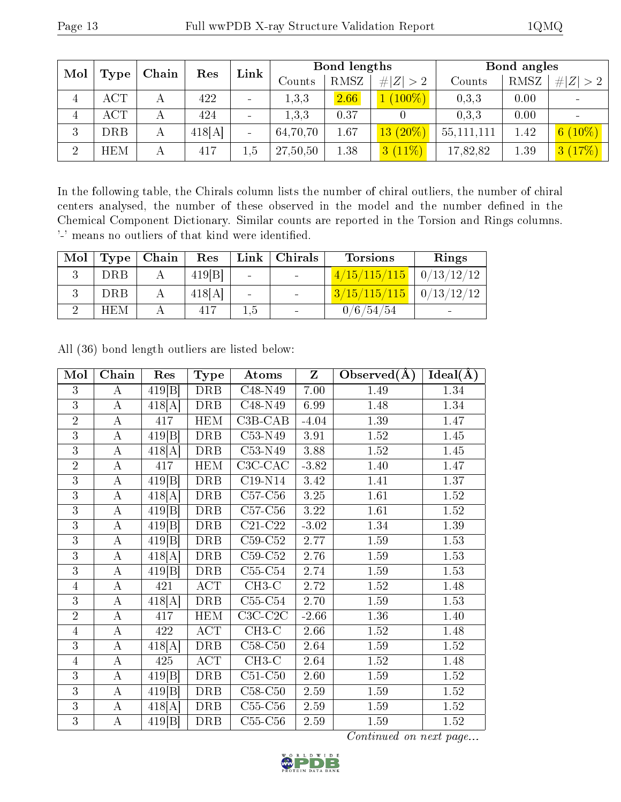| Mol            | Type       | Chain | Res    | Link                     | Bond lengths |      |             | Bond angles  |      |                            |
|----------------|------------|-------|--------|--------------------------|--------------|------|-------------|--------------|------|----------------------------|
|                |            |       |        |                          | Counts       | RMSZ | # $ Z  > 2$ | Counts       | RMSZ | # $ Z  > 2$                |
|                | <b>ACT</b> |       | 422    | $\overline{\phantom{a}}$ | 1,3,3        | 2.66 | $(100\%)$   | 0,3,3        | 0.00 |                            |
| 4              | ACT        |       | 424    | $\sim$                   | 1,3,3        | 0.37 |             | 0.3.3        | 0.00 |                            |
| 3              | DRB        | А     | 418[A] | $\sim$                   | 64,70,70     | 1.67 | $13(20\%)$  | 55, 111, 111 | 1.42 | $(10\%)$<br>6 <sup>1</sup> |
| $\overline{2}$ | <b>HEM</b> | А     | 417    | 1.5                      | 27,50,50     | 1.38 | $3(11\%)$   | 17,82,82     | 1.39 | (17%)<br>3 <sup>°</sup>    |

In the following table, the Chirals column lists the number of chiral outliers, the number of chiral centers analysed, the number of these observed in the model and the number defined in the Chemical Component Dictionary. Similar counts are reported in the Torsion and Rings columns. '-' means no outliers of that kind were identified.

| Mol | Type       | Chain | Res    | Link                     | Chirals | <b>Torsions</b> | Rings             |
|-----|------------|-------|--------|--------------------------|---------|-----------------|-------------------|
|     | <b>DRB</b> |       | 419[B] | $\overline{\phantom{a}}$ |         | 4/15/115/115    | $\mid 0/13/12/12$ |
|     | <b>DRB</b> |       | 418[A] | $\overline{\phantom{a}}$ |         | 3/15/115/115    | $\mid 0/13/12/12$ |
|     | <b>HEM</b> |       | 417    | 1.5                      |         | 0/6/54/54       | $\blacksquare$    |

| Mol            | Chain            | Res                  | Type             | Atoms                              | $\mathbf{Z}$ | Observed $(A)$    | Ideal(A) |
|----------------|------------------|----------------------|------------------|------------------------------------|--------------|-------------------|----------|
| 3              | $\bf{A}$         | 419[B]               | <b>DRB</b>       | C48-N49                            | 7.00         | 1.49              | 1.34     |
| $\overline{3}$ | $\bf{A}$         | 418[A]               | DRB              | C <sub>48</sub> -N <sub>49</sub>   | 6.99         | 1.48              | 1.34     |
| $\overline{2}$ | $\bf{A}$         | 417                  | <b>HEM</b>       | $\overline{\text{C3}}\text{B-CAB}$ | $-4.04$      | 1.39              | 1.47     |
| 3              | $\bf{A}$         | 419 B                | <b>DRB</b>       | C53-N49                            | 3.91         | 1.52              | 1.45     |
| $\overline{3}$ | $\overline{A}$   | 418[A]               | <b>DRB</b>       | C53-N49                            | 3.88         | 1.52              | 1.45     |
| $\overline{2}$ | $\mathbf A$      | 417                  | <b>HEM</b>       | $C3C-CAC$                          | $-3.82$      | 1.40              | 1.47     |
| $\overline{3}$ | $\overline{A}$   | 419 B                | $\overline{DRB}$ | $C19-N14$                          | 3.42         | 1.41              | 1.37     |
| 3              | $\bf{A}$         | 418[A]               | DRB              | $C57-C56$                          | 3.25         | 1.61              | 1.52     |
| 3              | $\bf{A}$         | 419 B                | DRB              | $C57-C56$                          | 3.22         | 1.61              | 1.52     |
| 3              | $\boldsymbol{A}$ | 419[B]               | DRB              | $C21-C22$                          | $-3.02$      | 1.34              | 1.39     |
| 3              | $\bf{A}$         | 419 B                | DRB              | $C59-C52$                          | 2.77         | 1.59              | 1.53     |
| 3              | $\bf{A}$         | 418[A]               | DRB              | $C59-C52$                          | 2.76         | 1.59              | 1.53     |
| 3              | $\boldsymbol{A}$ | 419 B                | DRB              | $\overline{\text{C55-C54}}$        | 2.74         | $1.59\,$          | 1.53     |
| $\overline{4}$ | $\bf{A}$         | 421                  | $\overline{ACT}$ | $CH3-C$                            | 2.72         | 1.52              | 1.48     |
| 3              | $\bf{A}$         | 418[A]               | <b>DRB</b>       | $C55-C54$                          | 2.70         | 1.59              | 1.53     |
| $\overline{2}$ | $\bf{A}$         | 417                  | <b>HEM</b>       | $C3C-C2C$                          | $-2.66$      | 1.36              | 1.40     |
| $\overline{4}$ | $\overline{A}$   | 422                  | $\overline{ACT}$ | $CH3-C$                            | 2.66         | 1.52              | 1.48     |
| 3              | $\bf{A}$         | 418[A]               | DRB              | $C58-C50$                          | 2.64         | 1.59              | 1.52     |
| $\overline{4}$ | $\overline{A}$   | 425                  | $\overline{ACT}$ | $CH3-C$                            | 2.64         | $\overline{1.52}$ | 1.48     |
| 3              | $\bf{A}$         | 419 B                | DRB              | $C51-C50$                          | 2.60         | 1.59              | 1.52     |
| 3              | $\bf{A}$         | 419[B]               | DRB              | $\rm C58\text{-}C50$               | 2.59         | 1.59              | 1.52     |
| $\overline{3}$ | $\bf{A}$         | $\overline{418}$ [A] | DRB              | $C55-C56$                          | 2.59         | $1.59\,$          | 1.52     |
| 3              | $\boldsymbol{A}$ | 419[B]               | DRB              | $C55-C56$                          | 2.59         | 1.59              | 1.52     |

All (36) bond length outliers are listed below:

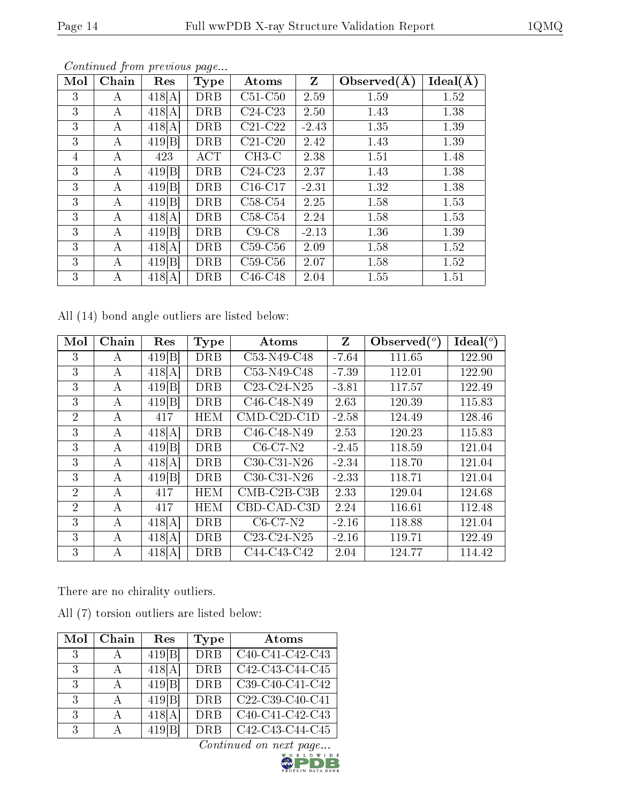| Mol | Chain | Res    | <b>Type</b> | Atoms     | Z       | Observed $(A)$ | Ideal(A) |
|-----|-------|--------|-------------|-----------|---------|----------------|----------|
| 3   | А     | 418[A] | DRB         | $C51-C50$ | 2.59    | 1.59           | 1.52     |
| 3   | А     | 418[A] | <b>DRB</b>  | $C24-C23$ | 2.50    | 1.43           | 1.38     |
| 3   | А     | 418[A] | <b>DRB</b>  | $C21-C22$ | $-2.43$ | 1.35           | 1.39     |
| 3   | А     | 419 B  | DRB         | $C21-C20$ | 2.42    | 1.43           | 1.39     |
| 4   | А     | 423    | ACT         | $CH3-C$   | 2.38    | 1.51           | 1.48     |
| 3   | А     | 419 B  | <b>DRB</b>  | $C24-C23$ | 2.37    | 1.43           | 1.38     |
| 3   | А     | 419 B  | <b>DRB</b>  | $C16-C17$ | $-2.31$ | 1.32           | 1.38     |
| 3   | А     | 419 B  | <b>DRB</b>  | $C58-C54$ | 2.25    | 1.58           | 1.53     |
| 3   | А     | 418[A] | <b>DRB</b>  | $C58-C54$ | 2.24    | 1.58           | 1.53     |
| 3   | А     | 419 B  | <b>DRB</b>  | $C9-C8$   | $-2.13$ | 1.36           | 1.39     |
| 3   | А     | 418[A] | <b>DRB</b>  | $C59-C56$ | 2.09    | 1.58           | 1.52     |
| 3   | А     | 419 B  | DRB         | $C59-C56$ | 2.07    | 1.58           | 1.52     |
| 3   | А     | 418[A] | DRB         | $C46-C48$ | 2.04    | 1.55           | 1.51     |

Continued from previous page...

All (14) bond angle outliers are listed below:

| Mol            | Chain | Res    | <b>Type</b> | Atoms                                             | Z       | Observed $(^\circ)$ | Ideal $(^\circ)$ |
|----------------|-------|--------|-------------|---------------------------------------------------|---------|---------------------|------------------|
| 3              | А     | 419 B  | <b>DRB</b>  | C <sub>53</sub> -N <sub>49</sub> -C <sub>48</sub> | $-7.64$ | 111.65              | 122.90           |
| 3              | А     | 418[A] | <b>DRB</b>  | C53-N49-C48                                       | $-7.39$ | 112.01              | 122.90           |
| 3              | А     | 419[B] | <b>DRB</b>  | $C23-C24-N25$                                     | $-3.81$ | 117.57              | 122.49           |
| 3              | А     | 419[B] | <b>DRB</b>  | C <sub>46</sub> -C <sub>48</sub> -N <sub>49</sub> | 2.63    | 120.39              | 115.83           |
| $\overline{2}$ | А     | 417    | <b>HEM</b>  | $CMD$ - $C2D$ - $C1D$                             | $-2.58$ | 124.49              | 128.46           |
| 3              | A     | 418[A] | DRB         | C <sub>46</sub> -C <sub>48</sub> -N <sub>49</sub> | 2.53    | 120.23              | 115.83           |
| 3              | А     | 419[B] | <b>DRB</b>  | $C6-C7-N2$                                        | $-2.45$ | 118.59              | 121.04           |
| 3              | A     | 418[A] | <b>DRB</b>  | $C30-C31-N26$                                     | $-2.34$ | 118.70              | 121.04           |
| 3              | А     | 419[B] | <b>DRB</b>  | $C30-C31-N26$                                     | $-2.33$ | 118.71              | 121.04           |
| 2              | A     | 417    | <b>HEM</b>  | $CMB-C2B-C3B$                                     | 2.33    | 129.04              | 124.68           |
| 2              | А     | 417    | <b>HEM</b>  | CBD-CAD-C3D                                       | 2.24    | 116.61              | 112.48           |
| 3              | А     | 418[A] | <b>DRB</b>  | $C6-C7-N2$                                        | $-2.16$ | 118.88              | 121.04           |
| 3              | А     | 418[A] | <b>DRB</b>  | C <sub>23</sub> -C <sub>24</sub> -N <sub>25</sub> | $-2.16$ | 119.71              | 122.49           |
| 3              | А     | 418[A] | <b>DRB</b>  | C44-C43-C42                                       | 2.04    | 124.77              | 114.42           |

There are no chirality outliers.

All (7) torsion outliers are listed below:

| Mol | Chain        | Res    | Type       | Atoms             |
|-----|--------------|--------|------------|-------------------|
| 3   | $\mathsf{A}$ | 419 B  | <b>DRB</b> | C40-C41-C42-C43   |
| 3   | $\mathbf{A}$ | 418[A] | <b>DRB</b> | C42-C43-C44-C45   |
| 3   | $\mathbf{A}$ | 419 B  | <b>DRB</b> | C39-C40-C41-C42   |
| 3   | $\mathbf{A}$ | 419 B  | <b>DRB</b> | $C22-C39-C40-C41$ |
| 3   | $\mathsf{A}$ | 418[A] | <b>DRB</b> | C40-C41-C42-C43   |
| 3   | А            | 419 B  | DRB        | C42-C43-C44-C45   |

 $\overline{Continued on next page...}$ 

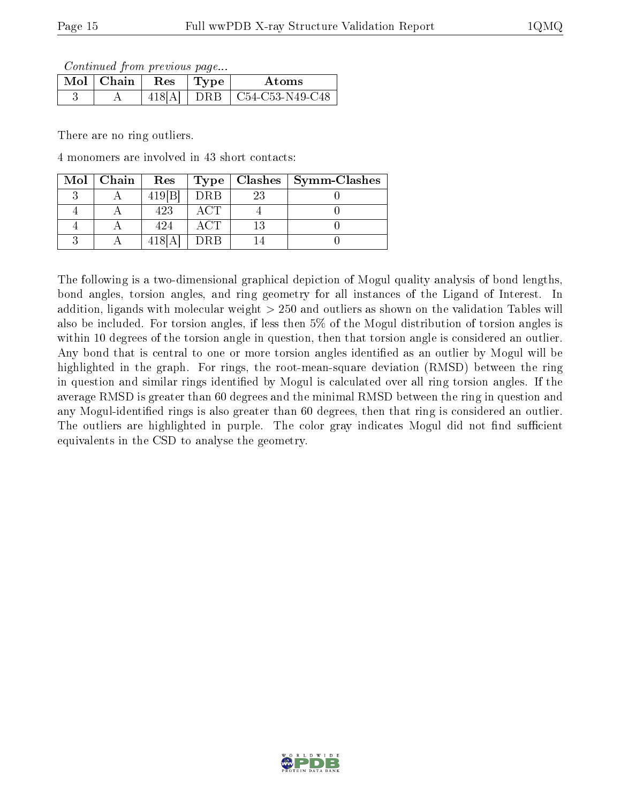Continued from previous page...

| Mol | $\mid$ Chain | <b>Res</b> | Atoms                        |
|-----|--------------|------------|------------------------------|
|     |              |            | $DRB$ $\mid$ C54-C53-N49-C48 |

There are no ring outliers.

4 monomers are involved in 43 short contacts:

| Mol | Chain | Res   | Type | Clashes | Symm-Clashes |
|-----|-------|-------|------|---------|--------------|
|     |       | 419 B | DRB  | 23      |              |
|     |       | 423   |      |         |              |
|     |       | 424   |      | 13      |              |
|     |       |       | DRB  |         |              |

The following is a two-dimensional graphical depiction of Mogul quality analysis of bond lengths, bond angles, torsion angles, and ring geometry for all instances of the Ligand of Interest. In addition, ligands with molecular weight > 250 and outliers as shown on the validation Tables will also be included. For torsion angles, if less then 5% of the Mogul distribution of torsion angles is within 10 degrees of the torsion angle in question, then that torsion angle is considered an outlier. Any bond that is central to one or more torsion angles identified as an outlier by Mogul will be highlighted in the graph. For rings, the root-mean-square deviation (RMSD) between the ring in question and similar rings identified by Mogul is calculated over all ring torsion angles. If the average RMSD is greater than 60 degrees and the minimal RMSD between the ring in question and any Mogul-identied rings is also greater than 60 degrees, then that ring is considered an outlier. The outliers are highlighted in purple. The color gray indicates Mogul did not find sufficient equivalents in the CSD to analyse the geometry.

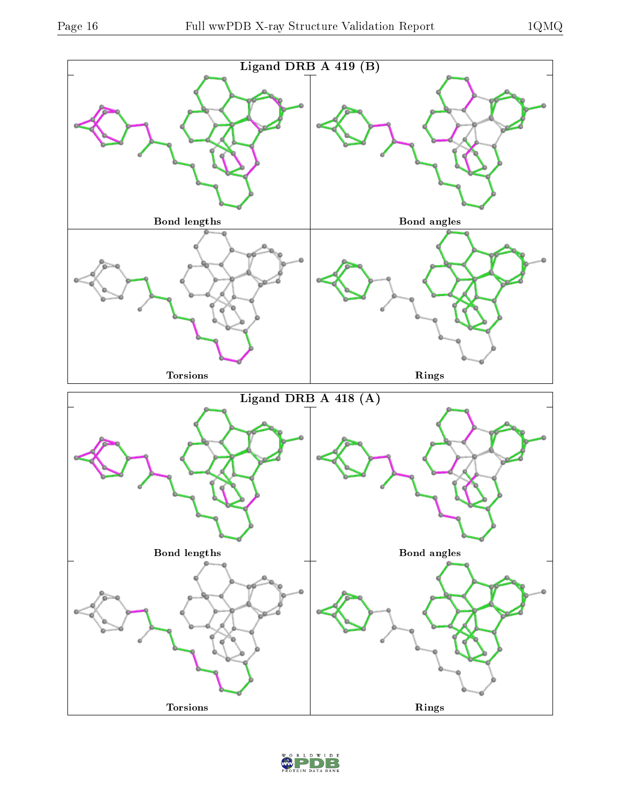

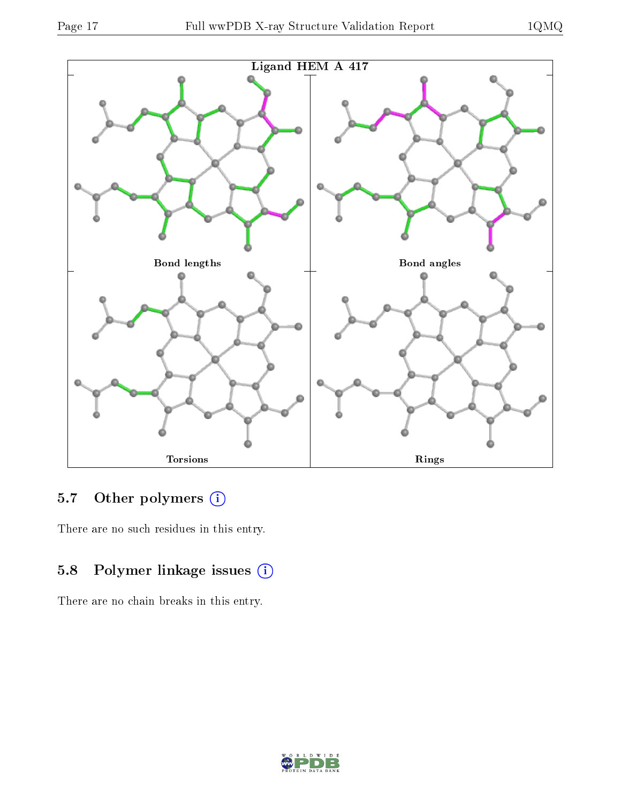



## 5.7 [O](https://www.wwpdb.org/validation/2017/XrayValidationReportHelp#nonstandard_residues_and_ligands)ther polymers (i)

There are no such residues in this entry.

## 5.8 Polymer linkage issues (i)

There are no chain breaks in this entry.